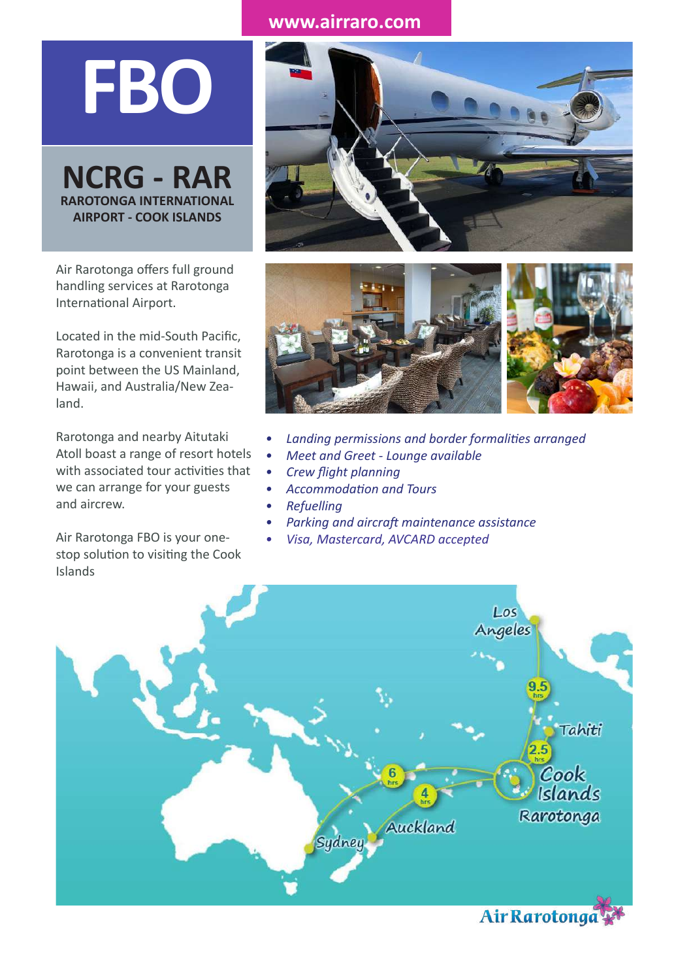## **www.airraro.com**

**FBO**

**YOURGER**<br>RAROTONGA INT<br>AIRPORT - COO **NCRG - RAR RAROTONGA INTERNATIONAL AIRPORT - COOK ISLANDS**

*welcome* Air Rarotonga offers full ground handling services at Rarotonga International Airport.

Located in the mid-South Pacific, Rarotonga is a convenient transit point between the US Mainland, Hawaii, and Australia/New Zealand.

Rarotonga and nearby Aitutaki Atoll boast a range of resort hotels with associated tour activities that we can arrange for your guests and aircrew.

Air Rarotonga FBO is your onestop solution to visiting the Cook Islands





- *• Landing permissions and border formalities arranged*
- *• Meet and Greet Lounge available*
	- *• Crew flight planning*
- *• Accommodation and Tours*
	- *• Refuelling*
- *• Parking and aircraft maintenance assistance*
- *• Visa, Mastercard, AVCARD accepted*